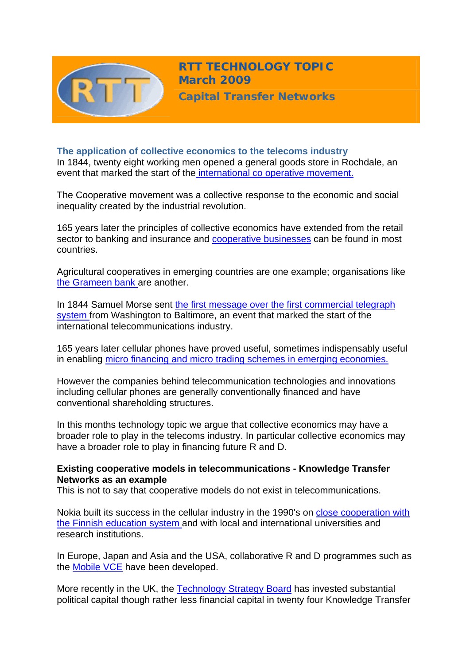

**RTT TECHNOLOGY TOPIC March 2009**

**Capital Transfer Networks**

**The application of collective economics to the telecoms industry** In 1844, twenty eight working men opened a general goods store in Rochdale, an event that marked the start of th[e international co operative movement.](http://www.cooponline.coop/about_intro_origins1.html)

The Cooperative movement was a collective response to the economic and social inequality created by the industrial revolution.

165 years later the principles of collective economics have extended from the retail sector to banking and insurance and [cooperative businesses](http://www.ica.coop/al-ica/) can be found in most countries.

Agricultural cooperatives in emerging countries are one example; organisations like [the Grameen bank a](http://www.grameenfoundation.org/?gclid=CPWimqf7jZkCFQulQwodX0VhbA)re another.

In 1844 Samuel Morse sent [the first message over the first commercial telegraph](http://inventors.about.com/od/tstartinventions/a/telegraph.htm)  [system](http://inventors.about.com/od/tstartinventions/a/telegraph.htm) from Washington to Baltimore, an event that marked the start of the international telecommunications industry.

165 years later cellular phones have proved useful, sometimes indispensably useful in enabling [micro financing and micro trading schemes in emerging economies.](http://www.itu.int/newsroom/press_releases/2009/07.html)

However the companies behind telecommunication technologies and innovations including cellular phones are generally conventionally financed and have conventional shareholding structures.

In this months technology topic we argue that collective economics may have a broader role to play in the telecoms industry. In particular collective economics may have a broader role to play in financing future R and D.

# **Existing cooperative models in telecommunications - Knowledge Transfer Networks as an example**

This is not to say that cooperative models do not exist in telecommunications.

Nokia built its success in the cellular industry in the 1990's on [close cooperation with](http://www.nokia.com/A4303002)  [the Finnish education system a](http://www.nokia.com/A4303002)nd with local and international universities and research institutions.

In Europe, Japan and Asia and the USA, collaborative R and D programmes such as the [Mobile VCE](http://www.mobilevce.com/frames.htm?overview.htm) have been developed.

More recently in the UK, the [Technology Strategy Board](http://www.berr.gov.uk/dius/innovation/technologystrategyboard/tsb/index.html) has invested substantial political capital though rather less financial capital in twenty four Knowledge Transfer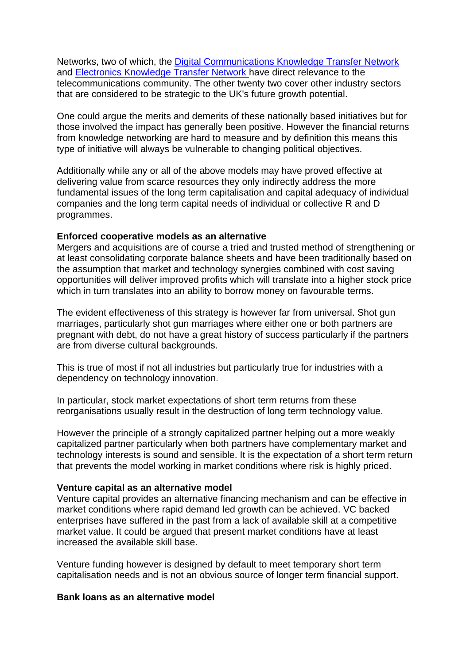Networks, two of which, the [Digital Communications Knowledge Transfer Network](http://www.dcktn.org.uk/)  and [Electronics Knowledge Transfer Network](http://www.electronics-ktn.com/) have direct relevance to the telecommunications community. The other twenty two cover other industry sectors that are considered to be strategic to the UK's future growth potential.

One could argue the merits and demerits of these nationally based initiatives but for those involved the impact has generally been positive. However the financial returns from knowledge networking are hard to measure and by definition this means this type of initiative will always be vulnerable to changing political objectives.

Additionally while any or all of the above models may have proved effective at delivering value from scarce resources they only indirectly address the more fundamental issues of the long term capitalisation and capital adequacy of individual companies and the long term capital needs of individual or collective R and D programmes.

#### **Enforced cooperative models as an alternative**

Mergers and acquisitions are of course a tried and trusted method of strengthening or at least consolidating corporate balance sheets and have been traditionally based on the assumption that market and technology synergies combined with cost saving opportunities will deliver improved profits which will translate into a higher stock price which in turn translates into an ability to borrow money on favourable terms.

The evident effectiveness of this strategy is however far from universal. Shot gun marriages, particularly shot gun marriages where either one or both partners are pregnant with debt, do not have a great history of success particularly if the partners are from diverse cultural backgrounds.

This is true of most if not all industries but particularly true for industries with a dependency on technology innovation.

In particular, stock market expectations of short term returns from these reorganisations usually result in the destruction of long term technology value.

However the principle of a strongly capitalized partner helping out a more weakly capitalized partner particularly when both partners have complementary market and technology interests is sound and sensible. It is the expectation of a short term return that prevents the model working in market conditions where risk is highly priced.

# **Venture capital as an alternative model**

Venture capital provides an alternative financing mechanism and can be effective in market conditions where rapid demand led growth can be achieved. VC backed enterprises have suffered in the past from a lack of available skill at a competitive market value. It could be argued that present market conditions have at least increased the available skill base.

Venture funding however is designed by default to meet temporary short term capitalisation needs and is not an obvious source of longer term financial support.

#### **Bank loans as an alternative model**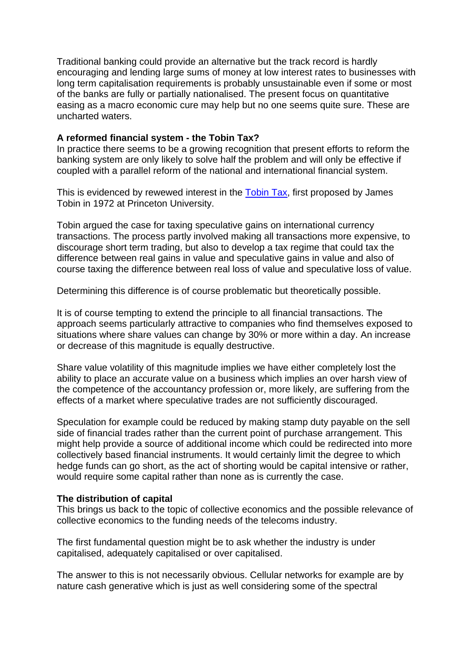Traditional banking could provide an alternative but the track record is hardly encouraging and lending large sums of money at low interest rates to businesses with long term capitalisation requirements is probably unsustainable even if some or most of the banks are fully or partially nationalised. The present focus on quantitative easing as a macro economic cure may help but no one seems quite sure. These are uncharted waters.

### **A reformed financial system - the Tobin Tax?**

In practice there seems to be a growing recognition that present efforts to reform the banking system are only likely to solve half the problem and will only be effective if coupled with a parallel reform of the national and international financial system.

This is evidenced by rewewed interest in the [Tobin Tax](http://www.worldbank.org/fandd/english/0696/articles/0130696.htm), first proposed by James Tobin in 1972 at Princeton University.

Tobin argued the case for taxing speculative gains on international currency transactions. The process partly involved making all transactions more expensive, to discourage short term trading, but also to develop a tax regime that could tax the difference between real gains in value and speculative gains in value and also of course taxing the difference between real loss of value and speculative loss of value.

Determining this difference is of course problematic but theoretically possible.

It is of course tempting to extend the principle to all financial transactions. The approach seems particularly attractive to companies who find themselves exposed to situations where share values can change by 30% or more within a day. An increase or decrease of this magnitude is equally destructive.

Share value volatility of this magnitude implies we have either completely lost the ability to place an accurate value on a business which implies an over harsh view of the competence of the accountancy profession or, more likely, are suffering from the effects of a market where speculative trades are not sufficiently discouraged.

Speculation for example could be reduced by making stamp duty payable on the sell side of financial trades rather than the current point of purchase arrangement. This might help provide a source of additional income which could be redirected into more collectively based financial instruments. It would certainly limit the degree to which hedge funds can go short, as the act of shorting would be capital intensive or rather, would require some capital rather than none as is currently the case.

#### **The distribution of capital**

This brings us back to the topic of collective economics and the possible relevance of collective economics to the funding needs of the telecoms industry.

The first fundamental question might be to ask whether the industry is under capitalised, adequately capitalised or over capitalised.

The answer to this is not necessarily obvious. Cellular networks for example are by nature cash generative which is just as well considering some of the spectral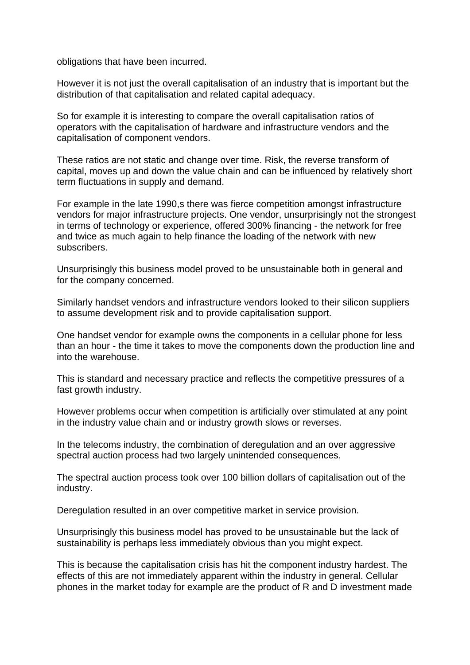obligations that have been incurred.

However it is not just the overall capitalisation of an industry that is important but the distribution of that capitalisation and related capital adequacy.

So for example it is interesting to compare the overall capitalisation ratios of operators with the capitalisation of hardware and infrastructure vendors and the capitalisation of component vendors.

These ratios are not static and change over time. Risk, the reverse transform of capital, moves up and down the value chain and can be influenced by relatively short term fluctuations in supply and demand.

For example in the late 1990,s there was fierce competition amongst infrastructure vendors for major infrastructure projects. One vendor, unsurprisingly not the strongest in terms of technology or experience, offered 300% financing - the network for free and twice as much again to help finance the loading of the network with new subscribers.

Unsurprisingly this business model proved to be unsustainable both in general and for the company concerned.

Similarly handset vendors and infrastructure vendors looked to their silicon suppliers to assume development risk and to provide capitalisation support.

One handset vendor for example owns the components in a cellular phone for less than an hour - the time it takes to move the components down the production line and into the warehouse.

This is standard and necessary practice and reflects the competitive pressures of a fast growth industry.

However problems occur when competition is artificially over stimulated at any point in the industry value chain and or industry growth slows or reverses.

In the telecoms industry, the combination of deregulation and an over aggressive spectral auction process had two largely unintended consequences.

The spectral auction process took over 100 billion dollars of capitalisation out of the industry.

Deregulation resulted in an over competitive market in service provision.

Unsurprisingly this business model has proved to be unsustainable but the lack of sustainability is perhaps less immediately obvious than you might expect.

This is because the capitalisation crisis has hit the component industry hardest. The effects of this are not immediately apparent within the industry in general. Cellular phones in the market today for example are the product of R and D investment made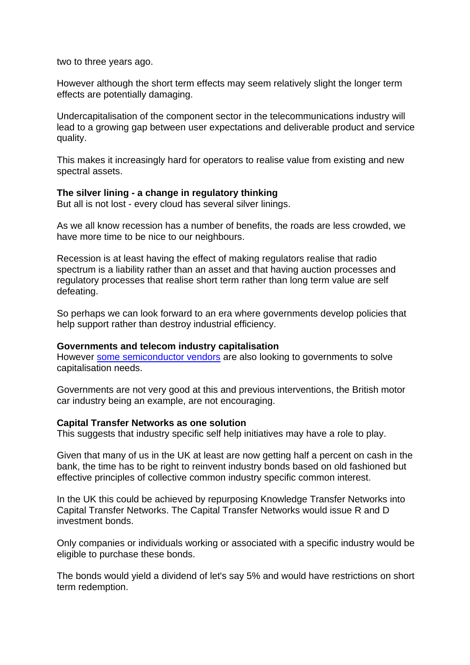two to three years ago.

However although the short term effects may seem relatively slight the longer term effects are potentially damaging.

Undercapitalisation of the component sector in the telecommunications industry will lead to a growing gap between user expectations and deliverable product and service quality.

This makes it increasingly hard for operators to realise value from existing and new spectral assets.

#### **The silver lining - a change in regulatory thinking**

But all is not lost - every cloud has several silver linings.

As we all know recession has a number of benefits, the roads are less crowded, we have more time to be nice to our neighbours.

Recession is at least having the effect of making regulators realise that radio spectrum is a liability rather than an asset and that having auction processes and regulatory processes that realise short term rather than long term value are self defeating.

So perhaps we can look forward to an era where governments develop policies that help support rather than destroy industrial efficiency.

#### **Governments and telecom industry capitalisation**

However [some semiconductor vendors](http://www.ft.com/cms/s/0/c9494e14-f475-11dd-8e76-0000779fd2ac.html) are also looking to governments to solve capitalisation needs.

Governments are not very good at this and previous interventions, the British motor car industry being an example, are not encouraging.

#### **Capital Transfer Networks as one solution**

This suggests that industry specific self help initiatives may have a role to play.

Given that many of us in the UK at least are now getting half a percent on cash in the bank, the time has to be right to reinvent industry bonds based on old fashioned but effective principles of collective common industry specific common interest.

In the UK this could be achieved by repurposing Knowledge Transfer Networks into Capital Transfer Networks. The Capital Transfer Networks would issue R and D investment bonds.

Only companies or individuals working or associated with a specific industry would be eligible to purchase these bonds.

The bonds would yield a dividend of let's say 5% and would have restrictions on short term redemption.